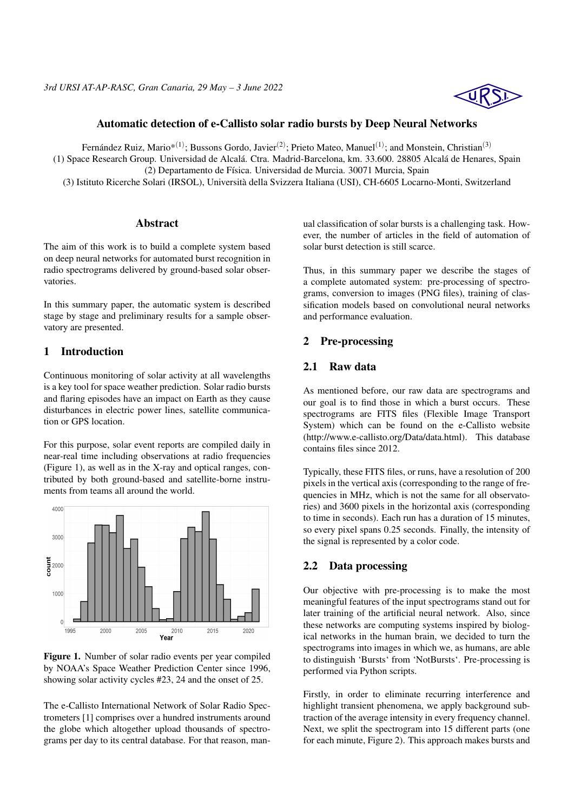## Automatic detection of e-Callisto solar radio bursts by Deep Neural Networks

Fernández Ruiz, Mario $^{*(1)}$ ; Bussons Gordo, Javier<sup>(2)</sup>; Prieto Mateo, Manuel<sup>(1)</sup>; and Monstein, Christian<sup>(3)</sup>

(1) Space Research Group. Universidad de Alcalá. Ctra. Madrid-Barcelona, km. 33.600. 28805 Alcalá de Henares, Spain

(2) Departamento de Física. Universidad de Murcia. 30071 Murcia, Spain

(3) Istituto Ricerche Solari (IRSOL), Università della Svizzera Italiana (USI), CH-6605 Locarno-Monti, Switzerland

#### Abstract

The aim of this work is to build a complete system based on deep neural networks for automated burst recognition in radio spectrograms delivered by ground-based solar observatories.

In this summary paper, the automatic system is described stage by stage and preliminary results for a sample observatory are presented.

#### 1 Introduction

Continuous monitoring of solar activity at all wavelengths is a key tool for space weather prediction. Solar radio bursts and flaring episodes have an impact on Earth as they cause disturbances in electric power lines, satellite communication or GPS location.

For this purpose, solar event reports are compiled daily in near-real time including observations at radio frequencies (Figure 1), as well as in the X-ray and optical ranges, contributed by both ground-based and satellite-borne instruments from teams all around the world.



Figure 1. Number of solar radio events per year compiled by NOAA's Space Weather Prediction Center since 1996, showing solar activity cycles #23, 24 and the onset of 25.

The e-Callisto International Network of Solar Radio Spectrometers [1] comprises over a hundred instruments around the globe which altogether upload thousands of spectrograms per day to its central database. For that reason, manual classification of solar bursts is a challenging task. However, the number of articles in the field of automation of solar burst detection is still scarce.

Thus, in this summary paper we describe the stages of a complete automated system: pre-processing of spectrograms, conversion to images (PNG files), training of classification models based on convolutional neural networks and performance evaluation.

#### 2 Pre-processing

#### 2.1 Raw data

As mentioned before, our raw data are spectrograms and our goal is to find those in which a burst occurs. These spectrograms are FITS files (Flexible Image Transport System) which can be found on the e-Callisto website (http://www.e-callisto.org/Data/data.html). This database contains files since 2012.

Typically, these FITS files, or runs, have a resolution of 200 pixels in the vertical axis (corresponding to the range of frequencies in MHz, which is not the same for all observatories) and 3600 pixels in the horizontal axis (corresponding to time in seconds). Each run has a duration of 15 minutes, so every pixel spans 0.25 seconds. Finally, the intensity of the signal is represented by a color code.

#### 2.2 Data processing

Our objective with pre-processing is to make the most meaningful features of the input spectrograms stand out for later training of the artificial neural network. Also, since these networks are computing systems inspired by biological networks in the human brain, we decided to turn the spectrograms into images in which we, as humans, are able to distinguish 'Bursts' from 'NotBursts'. Pre-processing is performed via Python scripts.

Firstly, in order to eliminate recurring interference and highlight transient phenomena, we apply background subtraction of the average intensity in every frequency channel. Next, we split the spectrogram into 15 different parts (one for each minute, Figure 2). This approach makes bursts and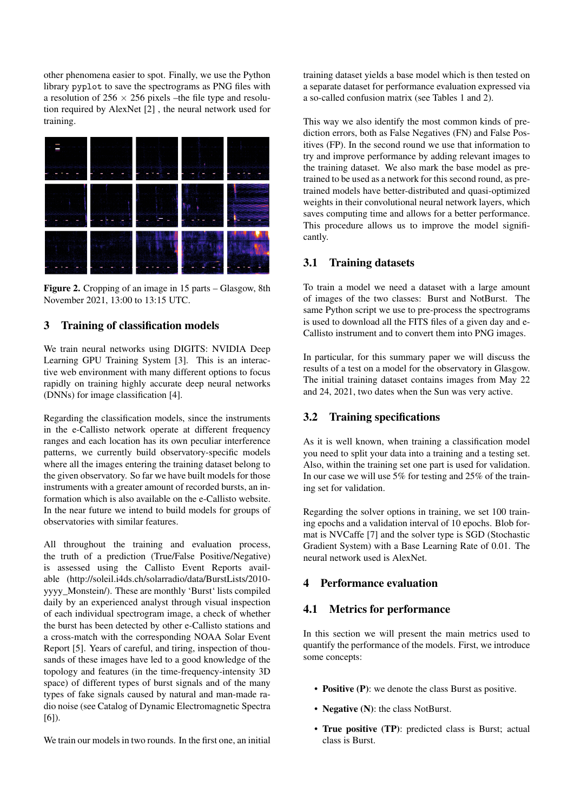other phenomena easier to spot. Finally, we use the Python library pyplot to save the spectrograms as PNG files with a resolution of  $256 \times 256$  pixels –the file type and resolution required by AlexNet [2] , the neural network used for training.



Figure 2. Cropping of an image in 15 parts – Glasgow, 8th November 2021, 13:00 to 13:15 UTC.

### 3 Training of classification models

We train neural networks using DIGITS: NVIDIA Deep Learning GPU Training System [3]. This is an interactive web environment with many different options to focus rapidly on training highly accurate deep neural networks (DNNs) for image classification [4].

Regarding the classification models, since the instruments in the e-Callisto network operate at different frequency ranges and each location has its own peculiar interference patterns, we currently build observatory-specific models where all the images entering the training dataset belong to the given observatory. So far we have built models for those instruments with a greater amount of recorded bursts, an information which is also available on the e-Callisto website. In the near future we intend to build models for groups of observatories with similar features.

All throughout the training and evaluation process, the truth of a prediction (True/False Positive/Negative) is assessed using the Callisto Event Reports available (http://soleil.i4ds.ch/solarradio/data/BurstLists/2010 yyyy\_Monstein/). These are monthly 'Burst' lists compiled daily by an experienced analyst through visual inspection of each individual spectrogram image, a check of whether the burst has been detected by other e-Callisto stations and a cross-match with the corresponding NOAA Solar Event Report [5]. Years of careful, and tiring, inspection of thousands of these images have led to a good knowledge of the topology and features (in the time-frequency-intensity 3D space) of different types of burst signals and of the many types of fake signals caused by natural and man-made radio noise (see Catalog of Dynamic Electromagnetic Spectra  $[6]$ .

We train our models in two rounds. In the first one, an initial

training dataset yields a base model which is then tested on a separate dataset for performance evaluation expressed via a so-called confusion matrix (see Tables 1 and 2).

This way we also identify the most common kinds of prediction errors, both as False Negatives (FN) and False Positives (FP). In the second round we use that information to try and improve performance by adding relevant images to the training dataset. We also mark the base model as pretrained to be used as a network for this second round, as pretrained models have better-distributed and quasi-optimized weights in their convolutional neural network layers, which saves computing time and allows for a better performance. This procedure allows us to improve the model significantly.

# 3.1 Training datasets

To train a model we need a dataset with a large amount of images of the two classes: Burst and NotBurst. The same Python script we use to pre-process the spectrograms is used to download all the FITS files of a given day and e-Callisto instrument and to convert them into PNG images.

In particular, for this summary paper we will discuss the results of a test on a model for the observatory in Glasgow. The initial training dataset contains images from May 22 and 24, 2021, two dates when the Sun was very active.

## 3.2 Training specifications

As it is well known, when training a classification model you need to split your data into a training and a testing set. Also, within the training set one part is used for validation. In our case we will use 5% for testing and 25% of the training set for validation.

Regarding the solver options in training, we set 100 training epochs and a validation interval of 10 epochs. Blob format is NVCaffe [7] and the solver type is SGD (Stochastic Gradient System) with a Base Learning Rate of 0.01. The neural network used is AlexNet.

### 4 Performance evaluation

# 4.1 Metrics for performance

In this section we will present the main metrics used to quantify the performance of the models. First, we introduce some concepts:

- Positive (P): we denote the class Burst as positive.
- Negative (N): the class NotBurst.
- True positive (TP): predicted class is Burst; actual class is Burst.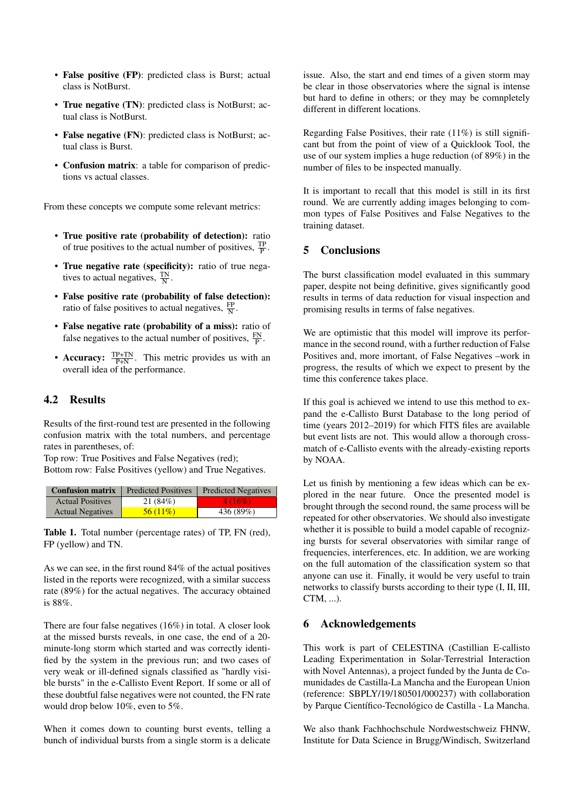- False positive (FP): predicted class is Burst; actual class is NotBurst.
- True negative (TN): predicted class is NotBurst; actual class is NotBurst.
- False negative (FN): predicted class is NotBurst; actual class is Burst.
- Confusion matrix: a table for comparison of predictions vs actual classes.

From these concepts we compute some relevant metrics:

- True positive rate (probability of detection): ratio of true positives to the actual number of positives,  $\frac{TP}{P}$ .
- True negative rate (specificity): ratio of true negatives to actual negatives,  $\frac{TN}{N}$ .
- False positive rate (probability of false detection): ratio of false positives to actual negatives,  $\frac{FP}{N}$ .
- False negative rate (probability of a miss): ratio of false negatives to the actual number of positives,  $\frac{FN}{P}$ .
- Accuracy:  $\frac{\text{TP+TN}}{\text{P+N}}$ . This metric provides us with an overall idea of the performance.

## 4.2 Results

Results of the first-round test are presented in the following confusion matrix with the total numbers, and percentage rates in parentheses, of:

Top row: True Positives and False Negatives (red); Bottom row: False Positives (yellow) and True Negatives.

|                         | <b>Confusion matrix</b> Predicted Positives | <b>Predicted Negatives</b> |
|-------------------------|---------------------------------------------|----------------------------|
| <b>Actual Positives</b> | 21(84%)                                     | 4 (16%)                    |
| <b>Actual Negatives</b> | 56(11%)                                     | 436 (89%)                  |

Table 1. Total number (percentage rates) of TP, FN (red), FP (yellow) and TN.

As we can see, in the first round 84% of the actual positives listed in the reports were recognized, with a similar success rate (89%) for the actual negatives. The accuracy obtained is 88%.

There are four false negatives (16%) in total. A closer look at the missed bursts reveals, in one case, the end of a 20 minute-long storm which started and was correctly identified by the system in the previous run; and two cases of very weak or ill-defined signals classified as "hardly visible bursts" in the e-Callisto Event Report. If some or all of these doubtful false negatives were not counted, the FN rate would drop below 10%, even to 5%.

When it comes down to counting burst events, telling a bunch of individual bursts from a single storm is a delicate issue. Also, the start and end times of a given storm may be clear in those observatories where the signal is intense but hard to define in others; or they may be comnpletely different in different locations.

Regarding False Positives, their rate (11%) is still significant but from the point of view of a Quicklook Tool, the use of our system implies a huge reduction (of 89%) in the number of files to be inspected manually.

It is important to recall that this model is still in its first round. We are currently adding images belonging to common types of False Positives and False Negatives to the training dataset.

# 5 Conclusions

The burst classification model evaluated in this summary paper, despite not being definitive, gives significantly good results in terms of data reduction for visual inspection and promising results in terms of false negatives.

We are optimistic that this model will improve its performance in the second round, with a further reduction of False Positives and, more imortant, of False Negatives –work in progress, the results of which we expect to present by the time this conference takes place.

If this goal is achieved we intend to use this method to expand the e-Callisto Burst Database to the long period of time (years 2012–2019) for which FITS files are available but event lists are not. This would allow a thorough crossmatch of e-Callisto events with the already-existing reports by NOAA.

Let us finish by mentioning a few ideas which can be explored in the near future. Once the presented model is brought through the second round, the same process will be repeated for other observatories. We should also investigate whether it is possible to build a model capable of recognizing bursts for several observatories with similar range of frequencies, interferences, etc. In addition, we are working on the full automation of the classification system so that anyone can use it. Finally, it would be very useful to train networks to classify bursts according to their type (I, II, III, CTM, ...).

#### 6 Acknowledgements

This work is part of CELESTINA (Castillian E-callisto Leading Experimentation in Solar-Terrestrial Interaction with Novel Antennas), a project funded by the Junta de Comunidades de Castilla-La Mancha and the European Union (reference: SBPLY/19/180501/000237) with collaboration by Parque Científico-Tecnológico de Castilla - La Mancha.

We also thank Fachhochschule Nordwestschweiz FHNW, Institute for Data Science in Brugg/Windisch, Switzerland